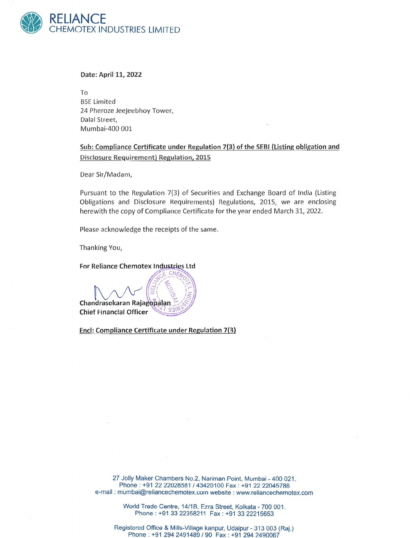

## Date: April 11, 2022

To **BSE Limited** 24 Pheroze Jeejeebhoy Tower, Dalal Street, Mumbai-400 001

Sub: Compliance Certificate under Regulation 7(3) of the SEBI (Listing obligation and Disclosure Requirement) Regulation, 2015

Dear Sir/Madam,

Pursuant to the Regulation 7(3) of Securities and Exchange Board of India (Listing Obligations and Disclosure Requirements) Regulations, 2015, we are enclosing herewith the copy of Compliance Certificate for the year ended March 31, 2022.

Please acknowledge the receipts of the same.

Thanking You,

For Reliance Chemotex Industries Ltd

Chandrasekaran Rajagopalan **Chief Financial Officer** 

End: Compliance Certificate under Regulation 7(3)

27 Jolly Maker Chambers No.2, Nariman Point, Mumbai - 400 021. Phone: +91 22 22028581 / 43420100 Fax: +91 22 22045786 e-mail: mumbai@reliancechemotex.com website: www.reliancechemotex.com

> World Trade Centre, 14/1B, Ezra Street, Kolkata - 700 001. Phone: +91 33 22358211 Fax: +91 33 22215653

Registered Office & Mills-Village kanpur, Udaipur - 313 003 (Raj.) Phone: +91 294 2491489 / 90 Fax: +91 294 2490067